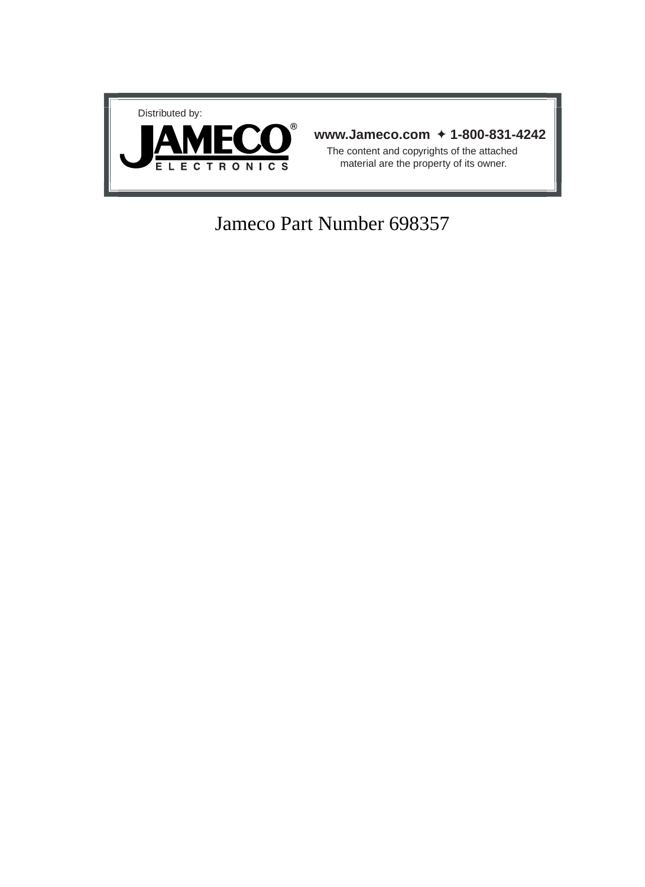

# Jameco Part Number 698357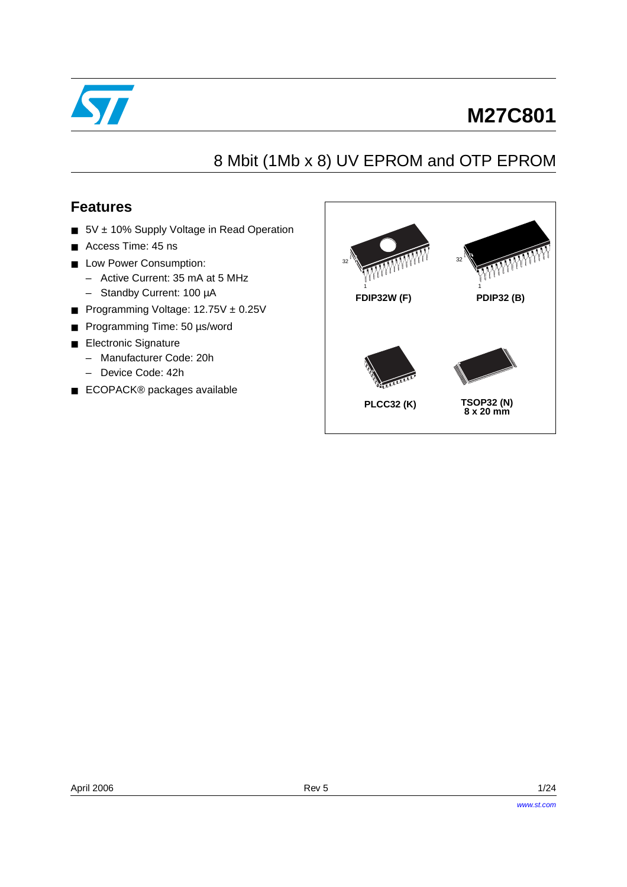

# **M27C801**

# 8 Mbit (1Mb x 8) UV EPROM and OTP EPROM

## **Features**

- 5V ± 10% Supply Voltage in Read Operation
- Access Time: 45 ns
- Low Power Consumption:
	- Active Current: 35 mA at 5 MHz
	- Standby Current: 100 µA
- Programming Voltage: 12.75V ± 0.25V
- Programming Time: 50 µs/word
- Electronic Signature
	- Manufacturer Code: 20h
	- Device Code: 42h
- ECOPACK<sup>®</sup> packages available

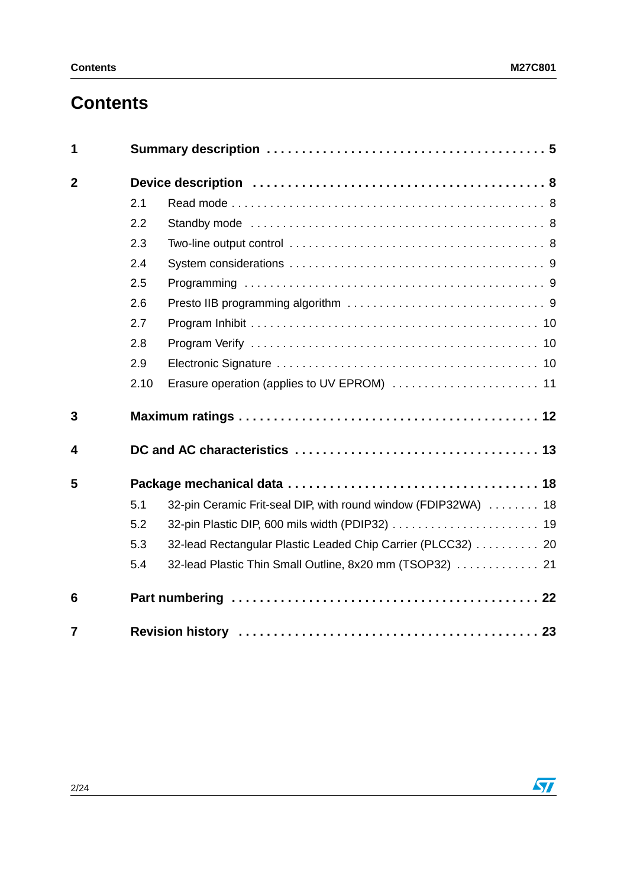# **Contents**

| 1              |      |                                                                |
|----------------|------|----------------------------------------------------------------|
| $\overline{2}$ |      |                                                                |
|                | 2.1  |                                                                |
|                | 2.2  |                                                                |
|                | 2.3  |                                                                |
|                | 2.4  |                                                                |
|                | 2.5  |                                                                |
|                | 2.6  |                                                                |
|                | 2.7  |                                                                |
|                | 2.8  |                                                                |
|                | 2.9  |                                                                |
|                | 2.10 | Erasure operation (applies to UV EPROM)  11                    |
| 3              |      |                                                                |
| 4              |      |                                                                |
| 5              |      |                                                                |
|                | 5.1  | 32-pin Ceramic Frit-seal DIP, with round window (FDIP32WA)  18 |
|                | 5.2  |                                                                |
|                | 5.3  | 32-lead Rectangular Plastic Leaded Chip Carrier (PLCC32) 20    |
|                | 5.4  | 32-lead Plastic Thin Small Outline, 8x20 mm (TSOP32)  21       |
| 6              |      |                                                                |
| $\overline{7}$ |      |                                                                |

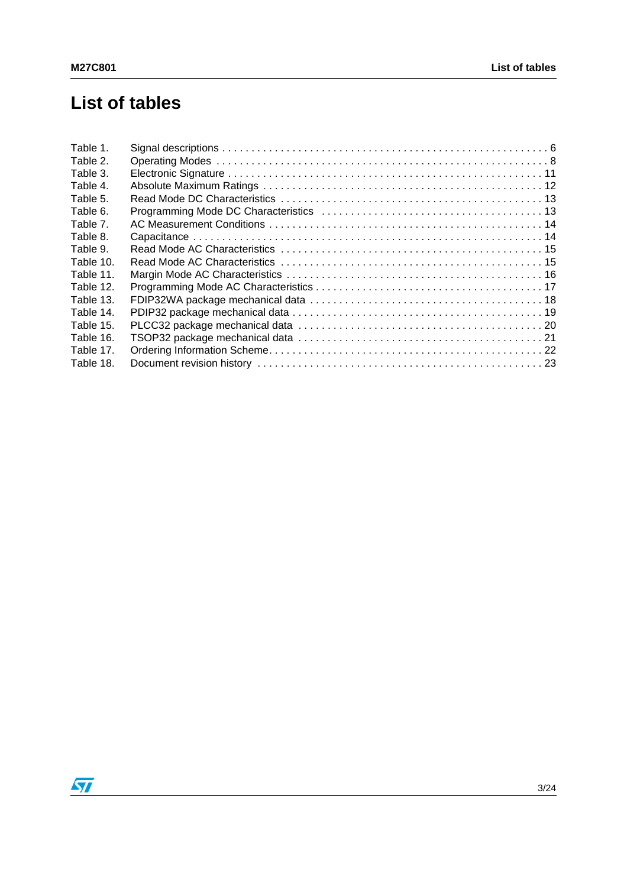# **List of tables**

| Table 1.  |  |
|-----------|--|
| Table 2.  |  |
| Table 3.  |  |
| Table 4.  |  |
| Table 5.  |  |
| Table 6.  |  |
| Table 7.  |  |
| Table 8.  |  |
| Table 9.  |  |
| Table 10. |  |
| Table 11. |  |
| Table 12. |  |
| Table 13. |  |
| Table 14. |  |
| Table 15. |  |
| Table 16. |  |
| Table 17. |  |
| Table 18. |  |

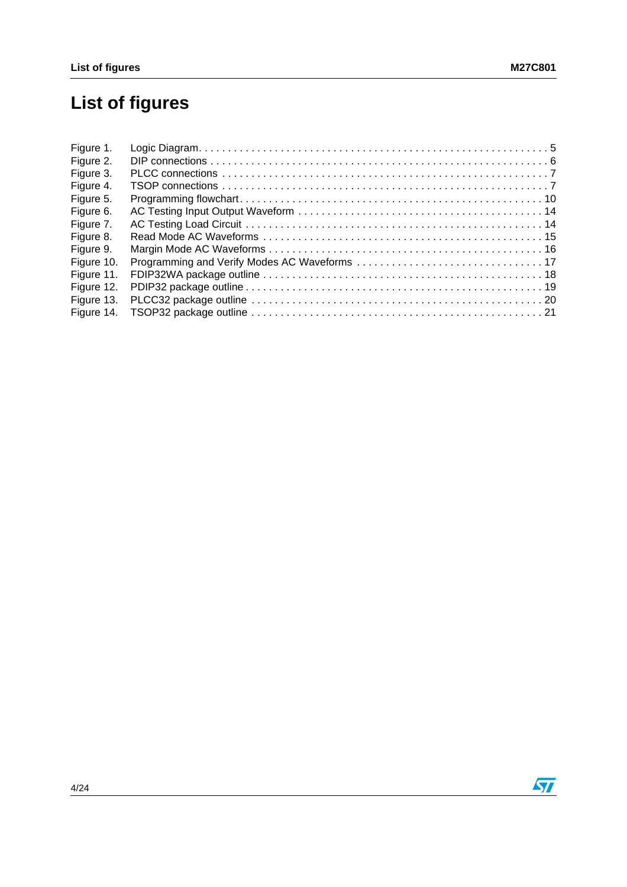# **List of figures**

| Figure 1.  |  |
|------------|--|
| Figure 2.  |  |
| Figure 3.  |  |
| Figure 4.  |  |
| Figure 5.  |  |
| Figure 6.  |  |
| Figure 7.  |  |
| Figure 8.  |  |
| Figure 9.  |  |
| Figure 10. |  |
| Figure 11. |  |
| Figure 12. |  |
| Figure 13. |  |
| Figure 14. |  |

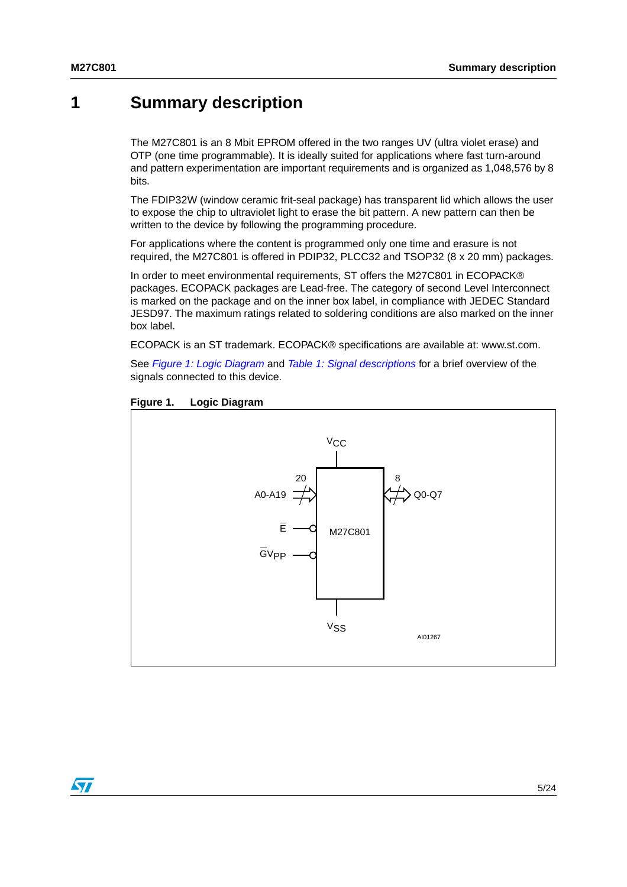## <span id="page-5-0"></span>**1 Summary description**

The M27C801 is an 8 Mbit EPROM offered in the two ranges UV (ultra violet erase) and OTP (one time programmable). It is ideally suited for applications where fast turn-around and pattern experimentation are important requirements and is organized as 1,048,576 by 8 bits.

The FDIP32W (window ceramic frit-seal package) has transparent lid which allows the user to expose the chip to ultraviolet light to erase the bit pattern. A new pattern can then be written to the device by following the programming procedure.

For applications where the content is programmed only one time and erasure is not required, the M27C801 is offered in PDIP32, PLCC32 and TSOP32 (8 x 20 mm) packages.

In order to meet environmental requirements, ST offers the M27C801 in ECOPACK® packages. ECOPACK packages are Lead-free. The category of second Level Interconnect is marked on the package and on the inner box label, in compliance with JEDEC Standard JESD97. The maximum ratings related to soldering conditions are also marked on the inner box label.

ECOPACK is an ST trademark. ECOPACK® specifications are available at: www.st.com.

See [Figure 1: Logic Diagram](#page-5-1) and [Table 1: Signal descriptions](#page-6-0) for a brief overview of the signals connected to this device.



### <span id="page-5-1"></span>**Figure 1. Logic Diagram**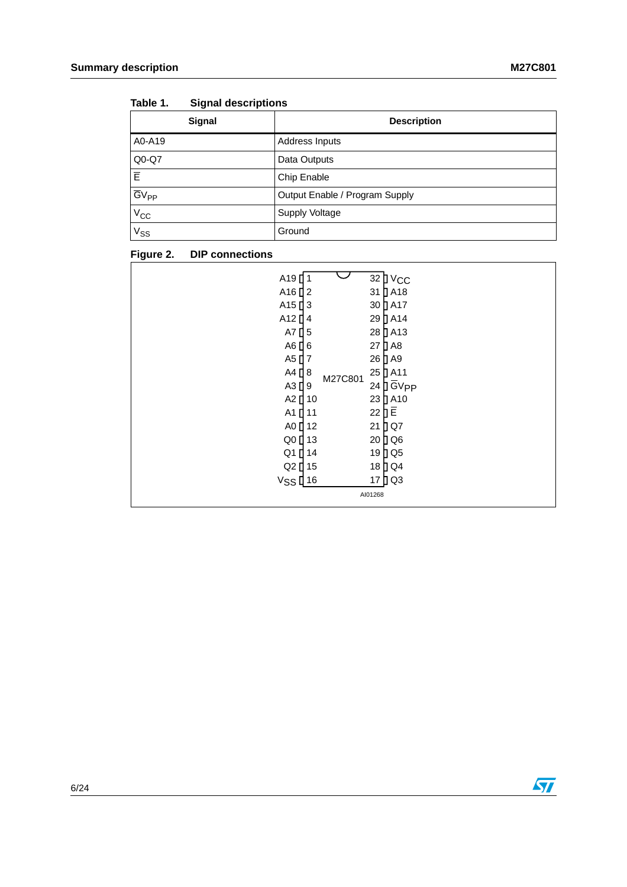| .                    |                                |
|----------------------|--------------------------------|
| <b>Signal</b>        | <b>Description</b>             |
| A0-A19               | Address Inputs                 |
| Q0-Q7                | Data Outputs                   |
| İΕ                   | Chip Enable                    |
| $\overline{GV}_{PP}$ | Output Enable / Program Supply |
| $V_{CC}$             | Supply Voltage                 |
| $V_{SS}$             | Ground                         |

<span id="page-6-0"></span>Table 1. **Signal descriptions** 

### <span id="page-6-1"></span>**Figure 2. DIP connections**

| A19                            |    |         |                     | 32 D V <sub>CC</sub>                 |
|--------------------------------|----|---------|---------------------|--------------------------------------|
| A <sub>16</sub> $12$           |    |         |                     | $31$ $\overline{)}$ A <sub>18</sub>  |
| A <sub>15</sub> $13$           |    |         |                     | 30 A17                               |
| A <sub>12</sub> $\blacksquare$ | 4  |         |                     | 29 D A14                             |
| A7 $\prod$ 5                   |    |         |                     | 28 D A13                             |
| $AG$ <sup><math>6</math></sup> |    |         |                     | 27 D A8                              |
| A5 $17$                        |    |         |                     | 26 D A9                              |
| $A4$ [ 8                       |    |         |                     | 25 DA11                              |
| $A3$ <sup>[9]</sup>            |    | M27C801 |                     | $24$ $\overline{)}$ GV <sub>PP</sub> |
| A2 [ 10                        |    |         |                     | 23 D A10                             |
| $A1$ <sup>[]</sup>             | 11 |         | $22$ $\overline{E}$ |                                      |
| A0 <sup>12</sup>               |    |         | 21                  | DQ7                                  |
| Q0 <sup>[13</sup>              |    |         |                     | 20 D Q 6                             |
| Q1 [ 14                        |    |         |                     | 19 D Q 5                             |
| Q2 [ 15                        |    |         |                     | 18 D Q 4                             |
| $V$ SS $[$ 16                  |    |         |                     | 17 D Q 3                             |
|                                |    |         | AI01268             |                                      |
|                                |    |         |                     |                                      |

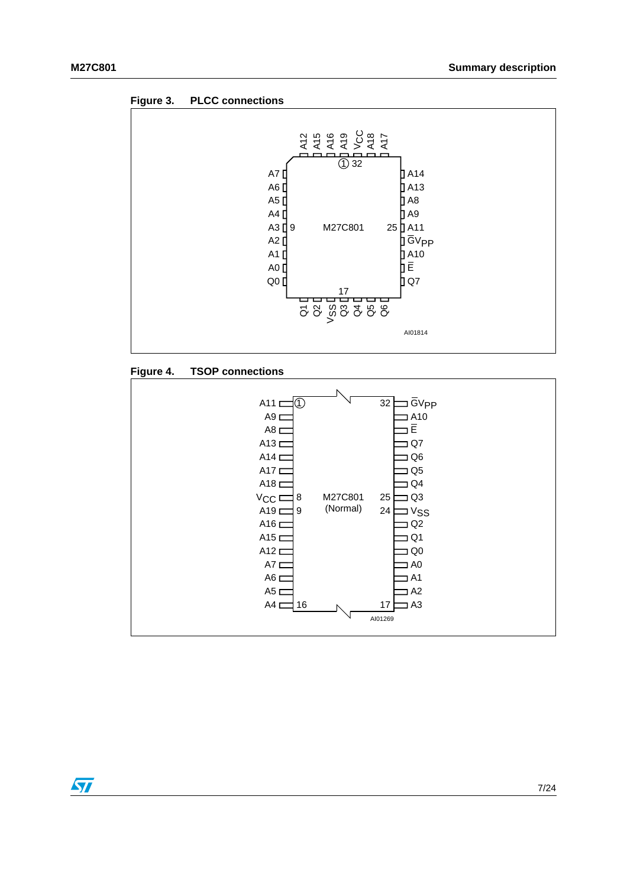<span id="page-7-0"></span>



<span id="page-7-1"></span>



 $\sqrt{2}$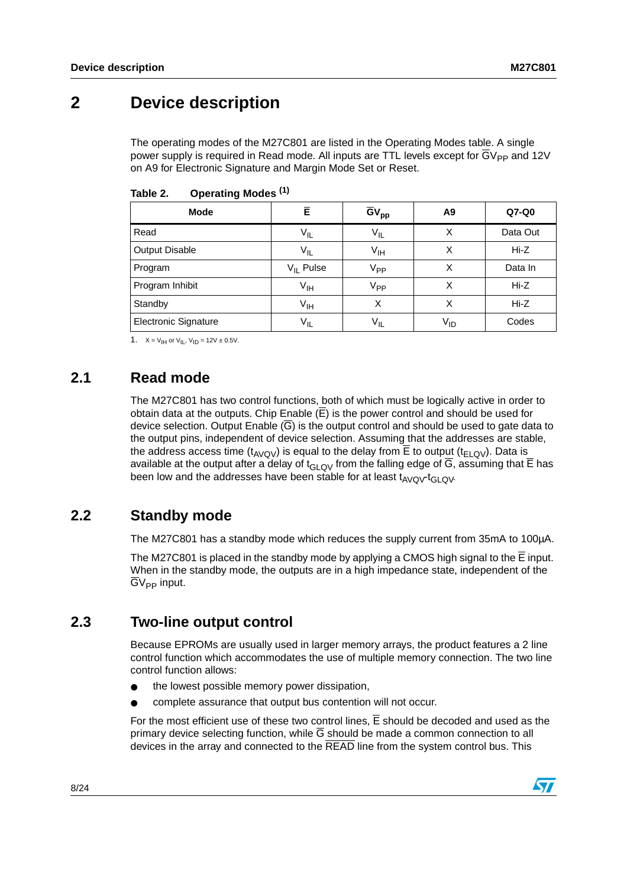# <span id="page-8-0"></span>**2 Device description**

The operating modes of the M27C801 are listed in the Operating Modes table. A single power supply is required in Read mode. All inputs are TTL levels except for  $\overline{G}V_{\text{PP}}$  and 12V on A9 for Electronic Signature and Margin Mode Set or Reset.

| <b>Mode</b>                 | Ē               | $\overline{GV}_{\text{pp}}$ | A9              | $Q7-Q0$  |
|-----------------------------|-----------------|-----------------------------|-----------------|----------|
| Read                        | $V_{IL}$        | $V_{IL}$                    | х               | Data Out |
| Output Disable              | $V_{IL}$        | $V_{\text{IH}}$             | х               | $Hi-Z$   |
| Program                     | $V_{II}$ Pulse  | V <sub>PP</sub>             | х               | Data In  |
| Program Inhibit             | V <sub>IH</sub> | V <sub>PP</sub>             | X               | $Hi-Z$   |
| Standby                     | $V_{\text{IH}}$ | X                           | х               | $Hi-Z$   |
| <b>Electronic Signature</b> | $V_{IL}$        | $V_{IL}$                    | V <sub>ID</sub> | Codes    |

<span id="page-8-4"></span>Table 2. **Table 2. Operating Modes (1)**

1.  $X = V_{\text{IH}}$  or  $V_{\text{IL}}$ ,  $V_{\text{ID}} = 12V \pm 0.5V$ .

## <span id="page-8-1"></span>**2.1 Read mode**

The M27C801 has two control functions, both of which must be logically active in order to obtain data at the outputs. Chip Enable  $(E)$  is the power control and should be used for device selection. Output Enable  $(\overline{G})$  is the output control and should be used to gate data to the output pins, independent of device selection. Assuming that the addresses are stable, the address access time  $(t_{A\vee O\vee})$  is equal to the delay from  $\overline{E}$  to output ( $t_{E\perp O\vee}$ ). Data is available at the output after a delay of  $t_{GLQV}$  from the falling edge of  $\overline{G}$ , assuming that  $\overline{E}$  has been low and the addresses have been stable for at least  $t_{AVQV}t_{GLOV}$ .

## <span id="page-8-2"></span>**2.2 Standby mode**

The M27C801 has a standby mode which reduces the supply current from 35mA to 100µA.

The M27C801 is placed in the standby mode by applying a CMOS high signal to the  $\overline{E}$  input. When in the standby mode, the outputs are in a high impedance state, independent of the  $\overline{G}V_{PP}$  input.

## <span id="page-8-3"></span>**2.3 Two-line output control**

Because EPROMs are usually used in larger memory arrays, the product features a 2 line control function which accommodates the use of multiple memory connection. The two line control function allows:

- the lowest possible memory power dissipation,
- complete assurance that output bus contention will not occur.

For the most efficient use of these two control lines,  $\overline{E}$  should be decoded and used as the primary device selecting function, while  $\overline{G}$  should be made a common connection to all devices in the array and connected to the READ line from the system control bus. This

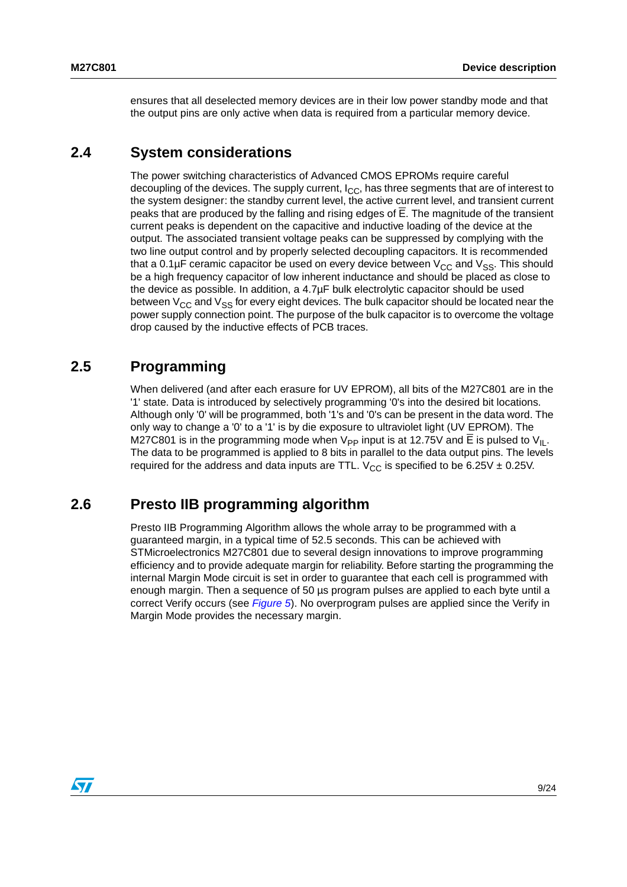ensures that all deselected memory devices are in their low power standby mode and that the output pins are only active when data is required from a particular memory device.

## <span id="page-9-0"></span>**2.4 System considerations**

The power switching characteristics of Advanced CMOS EPROMs require careful decoupling of the devices. The supply current,  $I_{CC}$ , has three segments that are of interest to the system designer: the standby current level, the active current level, and transient current peaks that are produced by the falling and rising edges of E. The magnitude of the transient current peaks is dependent on the capacitive and inductive loading of the device at the output. The associated transient voltage peaks can be suppressed by complying with the two line output control and by properly selected decoupling capacitors. It is recommended that a 0.1 $\mu$ F ceramic capacitor be used on every device between  $V_{CC}$  and  $V_{SS}$ . This should be a high frequency capacitor of low inherent inductance and should be placed as close to the device as possible. In addition, a 4.7µF bulk electrolytic capacitor should be used between  $V_{CC}$  and  $V_{SS}$  for every eight devices. The bulk capacitor should be located near the power supply connection point. The purpose of the bulk capacitor is to overcome the voltage drop caused by the inductive effects of PCB traces.

## <span id="page-9-1"></span>**2.5 Programming**

When delivered (and after each erasure for UV EPROM), all bits of the M27C801 are in the '1' state. Data is introduced by selectively programming '0's into the desired bit locations. Although only '0' will be programmed, both '1's and '0's can be present in the data word. The only way to change a '0' to a '1' is by die exposure to ultraviolet light (UV EPROM). The M27C801 is in the programming mode when  $V_{\text{PP}}$  input is at 12.75V and E is pulsed to  $V_{\text{II}}$ . The data to be programmed is applied to 8 bits in parallel to the data output pins. The levels required for the address and data inputs are TTL.  $V_{CC}$  is specified to be 6.25V  $\pm$  0.25V.

## <span id="page-9-2"></span>**2.6 Presto IIB programming algorithm**

Presto IIB Programming Algorithm allows the whole array to be programmed with a guaranteed margin, in a typical time of 52.5 seconds. This can be achieved with STMicroelectronics M27C801 due to several design innovations to improve programming efficiency and to provide adequate margin for reliability. Before starting the programming the internal Margin Mode circuit is set in order to guarantee that each cell is programmed with enough margin. Then a sequence of 50 µs program pulses are applied to each byte until a correct Verify occurs (see [Figure 5](#page-10-3)). No overprogram pulses are applied since the Verify in Margin Mode provides the necessary margin.

 $\sqrt{}$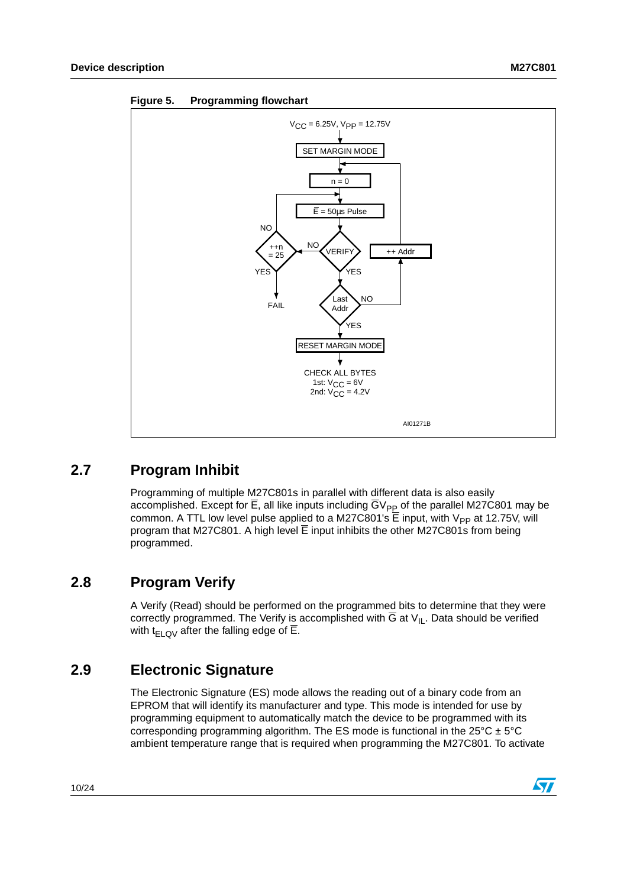

### <span id="page-10-3"></span>**Figure 5. Programming flowchart**

## <span id="page-10-0"></span>**2.7 Program Inhibit**

Programming of multiple M27C801s in parallel with different data is also easily accomplished. Except for  $\overline{E}$ , all like inputs including  $\overline{G}V_{PP}$  of the parallel M27C801 may be common. A TTL low level pulse applied to a M27C801's  $\overline{E}$  input, with  $V_{PP}$  at 12.75V, will program that M27C801. A high level  $\overline{E}$  input inhibits the other M27C801s from being programmed.

## <span id="page-10-1"></span>**2.8 Program Verify**

A Verify (Read) should be performed on the programmed bits to determine that they were correctly programmed. The Verify is accomplished with  $\overline{G}$  at  $V_{II}$ . Data should be verified with  $t_{F1QV}$  after the falling edge of  $\overline{E}$ .

## <span id="page-10-2"></span>**2.9 Electronic Signature**

The Electronic Signature (ES) mode allows the reading out of a binary code from an EPROM that will identify its manufacturer and type. This mode is intended for use by programming equipment to automatically match the device to be programmed with its corresponding programming algorithm. The ES mode is functional in the  $25^{\circ}C \pm 5^{\circ}C$ ambient temperature range that is required when programming the M27C801. To activate

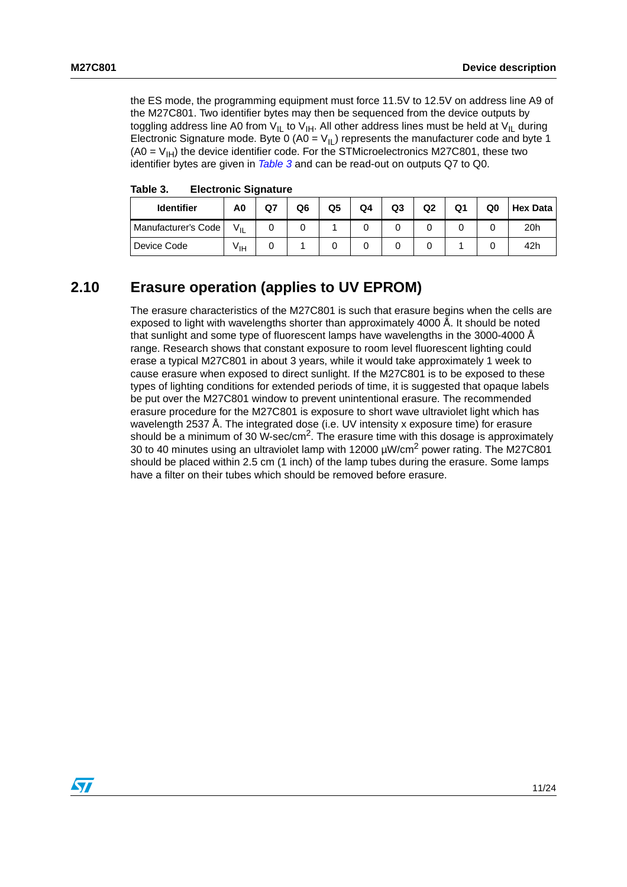the ES mode, the programming equipment must force 11.5V to 12.5V on address line A9 of the M27C801. Two identifier bytes may then be sequenced from the device outputs by toggling address line A0 from  $V_{II}$  to  $V_{IH}$ . All other address lines must be held at  $V_{II}$  during Electronic Signature mode. Byte 0 (A0 =  $V_{II}$ ) represents the manufacturer code and byte 1  $(AO = V<sub>IH</sub>)$  the device identifier code. For the STMicroelectronics M27C801, these two identifier bytes are given in [Table 3](#page-11-1) and can be read-out on outputs Q7 to Q0.

| <b>Identifier</b>   | A0              | Q7 | Q6 | Q5 | Q4 | Q3 | Q2 | Q1 | Q0 | <b>Hex Data</b> |
|---------------------|-----------------|----|----|----|----|----|----|----|----|-----------------|
| Manufacturer's Code | $V_{IL}$        |    |    |    |    |    |    |    |    | 20h             |
| Device Code         | V <sub>IH</sub> |    |    |    |    |    |    |    |    | 42h             |

<span id="page-11-1"></span>Table 3. **Electronic Signature** 

## <span id="page-11-0"></span>**2.10 Erasure operation (applies to UV EPROM)**

The erasure characteristics of the M27C801 is such that erasure begins when the cells are exposed to light with wavelengths shorter than approximately 4000 Å. It should be noted that sunlight and some type of fluorescent lamps have wavelengths in the 3000-4000 Å range. Research shows that constant exposure to room level fluorescent lighting could erase a typical M27C801 in about 3 years, while it would take approximately 1 week to cause erasure when exposed to direct sunlight. If the M27C801 is to be exposed to these types of lighting conditions for extended periods of time, it is suggested that opaque labels be put over the M27C801 window to prevent unintentional erasure. The recommended erasure procedure for the M27C801 is exposure to short wave ultraviolet light which has wavelength 2537 Å. The integrated dose (i.e. UV intensity x exposure time) for erasure should be a minimum of 30 W-sec/cm<sup>2</sup>. The erasure time with this dosage is approximately 30 to 40 minutes using an ultraviolet lamp with 12000  $\mu$ W/cm<sup>2</sup> power rating. The M27C801 should be placed within 2.5 cm (1 inch) of the lamp tubes during the erasure. Some lamps have a filter on their tubes which should be removed before erasure.

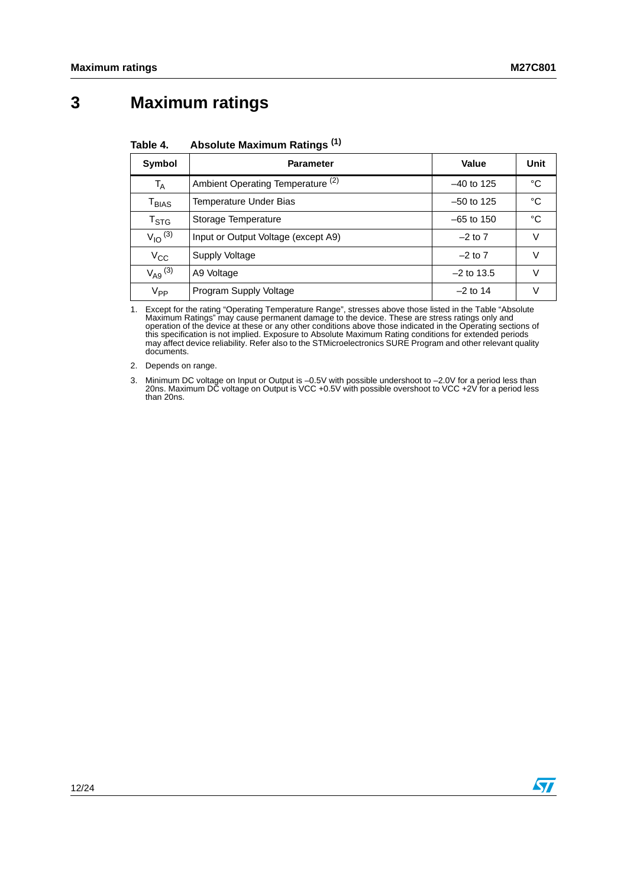# <span id="page-12-0"></span>**3 Maximum ratings**

| Symbol                       | <b>Parameter</b>                    | Value        | Unit |
|------------------------------|-------------------------------------|--------------|------|
| $\mathsf{T}_\mathsf{A}$      | Ambient Operating Temperature (2)   | $-40$ to 125 | °C   |
| $\mathsf{T}_{\mathsf{BIAS}}$ | Temperature Under Bias              | $-50$ to 125 | °C   |
| $\mathsf{T}_{\textsf{STG}}$  | Storage Temperature                 | $-65$ to 150 | °C   |
| $V_{IO}$ <sup>(3)</sup>      | Input or Output Voltage (except A9) | $-2$ to $7$  | V    |
| $V_{\rm CC}$                 | Supply Voltage                      | $-2$ to $7$  | V    |
| $V_{A9}$ <sup>(3)</sup>      | A9 Voltage                          | $-2$ to 13.5 | V    |
| V <sub>PP</sub>              | Program Supply Voltage              | $-2$ to 14   | v    |

#### <span id="page-12-1"></span>Table 4. **Absolute Maximum Ratings (1)**

1. Except for the rating "Operating Temperature Range", stresses above those listed in the Table "Absolute Maximum Ratings" may cause permanent damage to the device. These are stress ratings only and operation of the device at these or any other conditions above those indicated in the Operating sections of<br>this specification is not implied. Exposure to Absolute Maximum Rating conditions for extended periods<br>may affect documents.

2. Depends on range.

<span id="page-12-2"></span>3. Minimum DC voltage on Input or Output is –0.5V with possible undershoot to –2.0V for a period less than 20ns. Maximum DC voltage on Output is VCC +0.5V with possible overshoot to VCC +2V for a period less than 20ns.

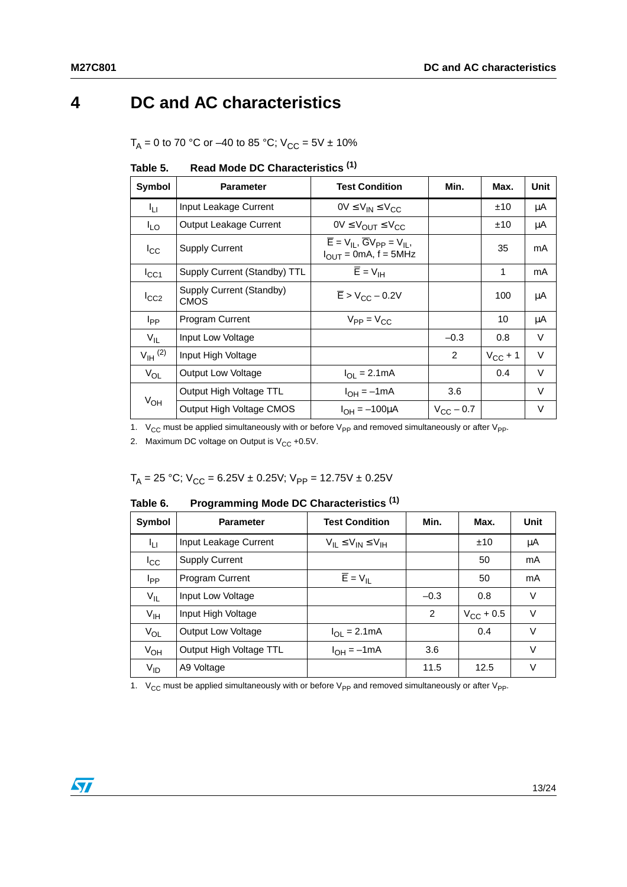# <span id="page-13-0"></span>**4 DC and AC characteristics**

 $T_A = 0$  to 70 °C or –40 to 85 °C;  $V_{CC} = 5V \pm 10\%$ 

| Symbol                 | <b>Parameter</b>                        | <b>Test Condition</b>                                                                         | Min.               | Max.         | Unit   |
|------------------------|-----------------------------------------|-----------------------------------------------------------------------------------------------|--------------------|--------------|--------|
| Īц                     | Input Leakage Current                   | $0V \leq V_{IN} \leq V_{CC}$                                                                  |                    | ±10          | μA     |
| <sup>I</sup> LO        | Output Leakage Current                  | $0V \leq V_{\text{OUT}} \leq V_{\text{CC}}$                                                   |                    | ±10          | μA     |
| $I_{\rm CC}$           | <b>Supply Current</b>                   | $\overline{E} = V_{II}$ , $\overline{G}V_{PP} = V_{II}$ ,<br>$I_{\text{OUT}}$ = 0mA, f = 5MHz |                    | 35           | mA     |
| $I_{\rm CC1}$          | Supply Current (Standby) TTL            | $\overline{E}$ = $V_{\text{IH}}$                                                              |                    | 1            | mA     |
| $I_{CC2}$              | Supply Current (Standby)<br><b>CMOS</b> | $\overline{E}$ > V <sub>CC</sub> – 0.2V                                                       |                    | 100          | μA     |
| <b>I</b> <sub>PP</sub> | Program Current                         | $V_{PP} = V_{CC}$                                                                             |                    | 10           | μA     |
| $V_{IL}$               | Input Low Voltage                       |                                                                                               | $-0.3$             | 0.8          | V      |
| $V_{\text{IH}}^{(2)}$  | Input High Voltage                      |                                                                                               | $\mathcal{P}$      | $V_{CC}$ + 1 | $\vee$ |
| $V_{OL}$               | Output Low Voltage                      | $I_{\Omega I} = 2.1 \text{mA}$                                                                |                    | 0.4          | $\vee$ |
| $V_{OH}$               | Output High Voltage TTL                 | $I_{OH} = -1mA$                                                                               | 3.6                |              | $\vee$ |
|                        | Output High Voltage CMOS                | $I_{OH} = -100 \mu A$                                                                         | $V_{\rm CC}$ – 0.7 |              | V      |

<span id="page-13-1"></span>

| Table 5. |  | Read Mode DC Characteristics <sup>(1)</sup> |
|----------|--|---------------------------------------------|
|----------|--|---------------------------------------------|

1.  $V_{CC}$  must be applied simultaneously with or before  $V_{PP}$  and removed simultaneously or after  $V_{PP}$ .

2. Maximum DC voltage on Output is  $V_{CC}$  +0.5V.

 $T_A = 25 °C$ ;  $V_{CC} = 6.25 V \pm 0.25 V$ ;  $V_{PP} = 12.75 V \pm 0.25 V$ 

<span id="page-13-2"></span>Table 6. **Programming Mode DC Characteristics <sup>(1)</sup>** 

| Symbol          | <b>Parameter</b>          | <b>Test Condition</b>            | Min.           | Max.               | Unit   |
|-----------------|---------------------------|----------------------------------|----------------|--------------------|--------|
| ĪЦ              | Input Leakage Current     | $V_{II} \leq V_{IN} \leq V_{IH}$ |                | ±10                | μA     |
| <sup>I</sup> cc | <b>Supply Current</b>     |                                  |                | 50                 | mA     |
| I <sub>PP</sub> | Program Current           | $\overline{E} = V_{\parallel}$   |                | 50                 | mA     |
| $V_{IL}$        | Input Low Voltage         |                                  | $-0.3$         | 0.8                | V      |
| V <sub>IH</sub> | Input High Voltage        |                                  | $\overline{2}$ | $V_{\rm CC}$ + 0.5 | V      |
| $V_{OL}$        | <b>Output Low Voltage</b> | $I_{OL} = 2.1mA$                 |                | 0.4                | $\vee$ |
| $V_{OH}$        | Output High Voltage TTL   | $I_{OH} = -1mA$                  | 3.6            |                    | $\vee$ |
| V <sub>ID</sub> | A9 Voltage                |                                  | 11.5           | 12.5               | V      |

1.  $V_{CC}$  must be applied simultaneously with or before  $V_{PP}$  and removed simultaneously or after  $V_{PP}$ .

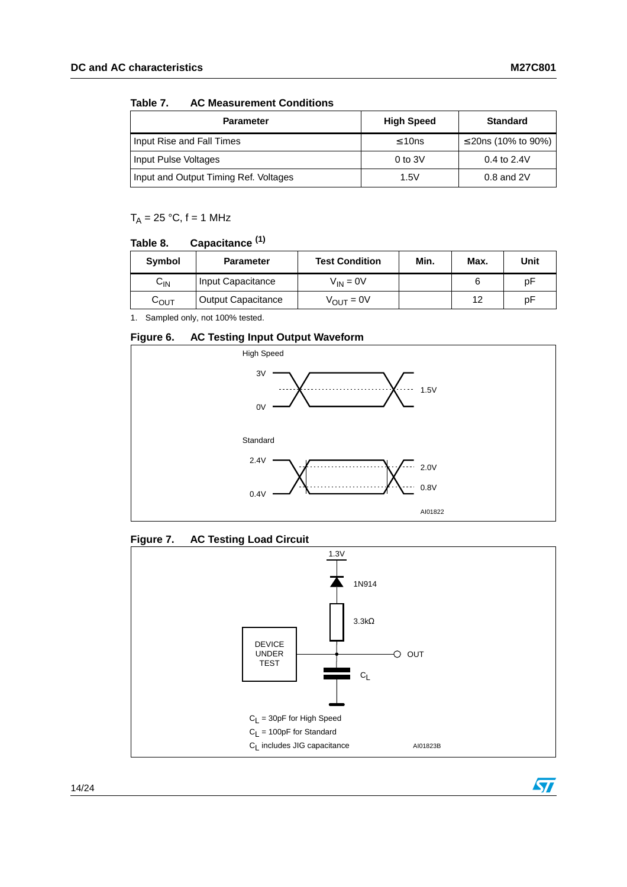#### <span id="page-14-0"></span>Table 7. **AC Measurement Conditions**

| <b>Parameter</b>                      | <b>High Speed</b> | <b>Standard</b>     |
|---------------------------------------|-------------------|---------------------|
| Input Rise and Fall Times             | $\leq 10$ ns      | ≤ 20ns (10% to 90%) |
| Input Pulse Voltages                  | $0$ to $3V$       | 0.4 to $2.4V$       |
| Input and Output Timing Ref. Voltages | 1.5V              | $0.8$ and $2V$      |

 $T_A = 25 °C$ , f = 1 MHz

#### <span id="page-14-1"></span>Table 8. Capacitance<sup>(1)</sup>

| Symbol                     | <b>Parameter</b>          | <b>Test Condition</b> |  | Max. | Unit |
|----------------------------|---------------------------|-----------------------|--|------|------|
| $\mathsf{C}_{\mathsf{IN}}$ | Input Capacitance         | $V_{IN} = 0V$         |  |      | рF   |
| С <sub>ОUТ</sub>           | <b>Output Capacitance</b> | $V_{\text{OUT}} = 0V$ |  | 12   | рF   |

1. Sampled only, not 100% tested.

### <span id="page-14-2"></span>**Figure 6. AC Testing Input Output Waveform**



### <span id="page-14-3"></span>**Figure 7. AC Testing Load Circuit**



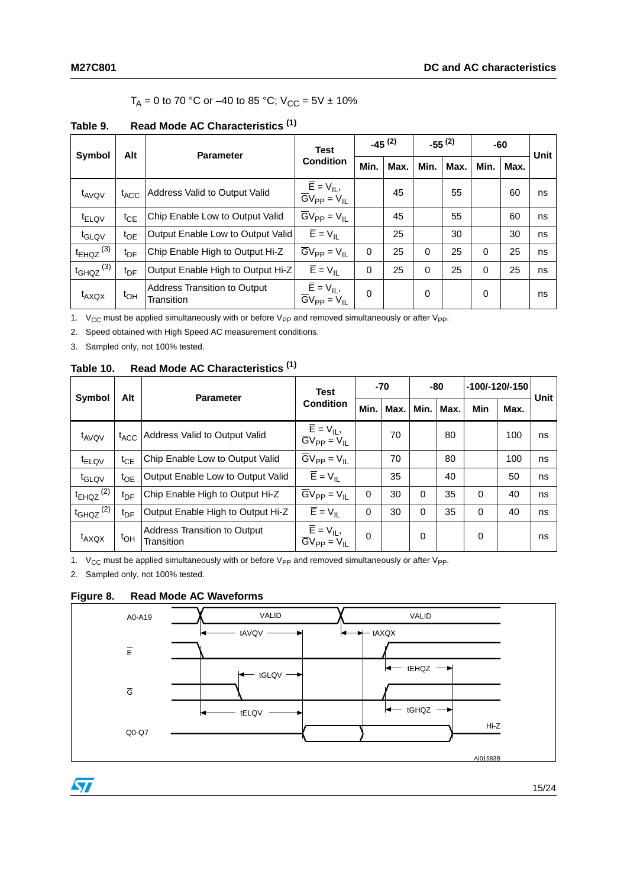### $T_A = 0$  to 70 °C or –40 to 85 °C;  $V_{CC} = 5V \pm 10\%$

<span id="page-15-0"></span>

| <b>Symbol</b>             | Alt              | <b>Parameter</b>                           | <b>Test</b>                                              | $-45(2)$ |      | $-55^{(2)}$ |      | -60      |      | Unit |
|---------------------------|------------------|--------------------------------------------|----------------------------------------------------------|----------|------|-------------|------|----------|------|------|
|                           |                  |                                            | <b>Condition</b>                                         | Min.     | Max. | Min.        | Max. | Min.     | Max. |      |
| $t_{AVOV}$                | $t_{\text{ACC}}$ | Address Valid to Output Valid              | $\overline{E} = V_{IL}$<br>$\overline{GV}_{PP} = V_{IL}$ |          | 45   |             | 55   |          | 60   | ns   |
| <sup>t</sup> ELQV         | $t_{\sf CE}$     | Chip Enable Low to Output Valid            | $\overline{G}V_{PP} = V_{IL}$                            |          | 45   |             | 55   |          | 60   | ns   |
| t <sub>GLQV</sub>         | t <sub>OE</sub>  | Output Enable Low to Output Valid          | $\overline{E} = V_{\parallel}$                           |          | 25   |             | 30   |          | 30   | ns   |
| $t_{EHQZ}$ <sup>(3)</sup> | t <sub>DF</sub>  | Chip Enable High to Output Hi-Z            | $\overline{G}V_{PP} = V_{IL}$                            | 0        | 25   | $\Omega$    | 25   | $\Omega$ | 25   | ns   |
| $t_{GHQZ}$ <sup>(3)</sup> | tn⊧              | Output Enable High to Output Hi-Z          | $\overline{E}$ = $V_{IL}$                                | $\Omega$ | 25   | $\Omega$    | 25   | $\Omega$ | 25   | ns   |
| $t_{AXQX}$                | $t_{OH}$         | Address Transition to Output<br>Transition | $\overline{E} = V_{IL}$<br>$\overline{G}V_{PP} = V_{IL}$ | 0        |      | 0           |      | $\Omega$ |      | ns   |

1.  $V_{CC}$  must be applied simultaneously with or before  $V_{PP}$  and removed simultaneously or after  $V_{PP}$ .

<span id="page-15-4"></span>2. Speed obtained with High Speed AC measurement conditions.

<span id="page-15-3"></span>3. Sampled only, not 100% tested.

### <span id="page-15-1"></span>**Table 10. Read Mode AC Characteristics (1)**

| <b>Symbol</b><br>Alt      |                         | <b>Parameter</b>                           | <b>Test</b>                                                                         |          | -70  |          | -80  |            | -100/-120/-150 | <b>Unit</b> |
|---------------------------|-------------------------|--------------------------------------------|-------------------------------------------------------------------------------------|----------|------|----------|------|------------|----------------|-------------|
|                           |                         |                                            | <b>Condition</b>                                                                    | Min.     | Max. | Min.     | Max. | <b>Min</b> | Max.           |             |
| t <sub>AVQV</sub>         | $t_{\text{ACC}}$        | Address Valid to Output Valid              | $\overline{E} = V_{IL}$<br>$\overline{G}V_{PP} = V_{IL}$                            |          | 70   |          | 80   |            | 100            | ns          |
| $t_{\sf ELQV}$            | $\mathfrak{t}_{\rm CE}$ | Chip Enable Low to Output Valid            | $\overline{G}V_{PP} = V_{IL}$                                                       |          | 70   |          | 80   |            | 100            | ns          |
| t <sub>GLQV</sub>         | t <sub>OE</sub>         | Output Enable Low to Output Valid          | $\overline{E}$ = $V_{IL}$                                                           |          | 35   |          | 40   |            | 50             | ns          |
| $t_{EHQZ}$ <sup>(2)</sup> | t <sub>DF</sub>         | Chip Enable High to Output Hi-Z            | $\overline{G}V_{PP} = V_{IL}$                                                       | $\Omega$ | 30   | $\Omega$ | 35   | 0          | 40             | ns          |
| $t_{GHQZ}$ <sup>(2)</sup> | t <sub>DF</sub>         | Output Enable High to Output Hi-Z          | $\overline{E}$ = $V_{IL}$                                                           | 0        | 30   | $\Omega$ | 35   | 0          | 40             | ns          |
| $t_{AXQX}$                | $t_{OH}$                | Address Transition to Output<br>Transition | $\overline{\mathsf{E}} = \mathsf{V}_{\mathsf{IL}}$<br>$\overline{GV}_{PP} = V_{II}$ | $\Omega$ |      | 0        |      | 0          |                | ns          |

1.  $V_{CC}$  must be applied simultaneously with or before  $V_{PP}$  and removed simultaneously or after  $V_{PP}$ .

<span id="page-15-5"></span>2. Sampled only, not 100% tested.

 $\sqrt{2}$ 

### <span id="page-15-2"></span>**Figure 8. Read Mode AC Waveforms**



15/24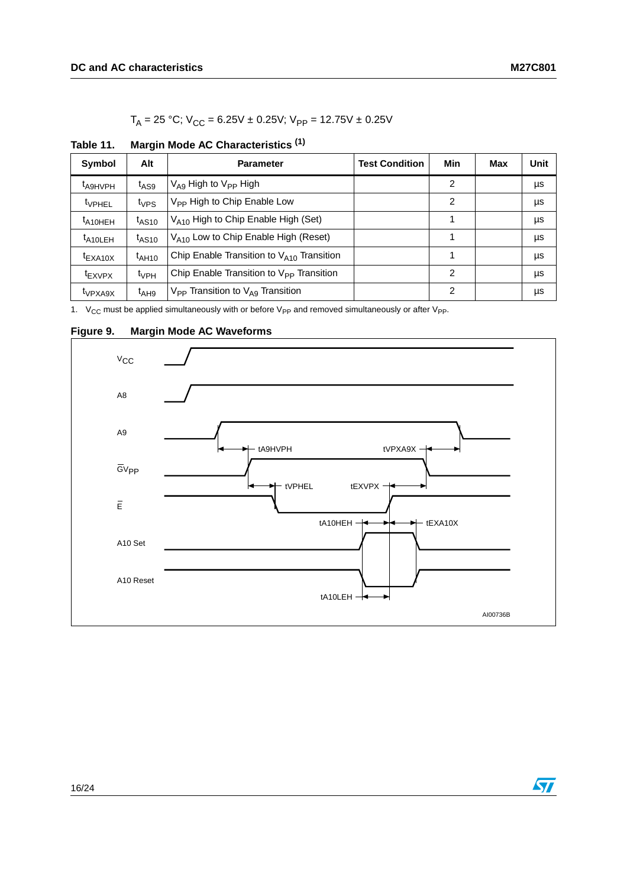$T_A = 25 °C$ ;  $V_{CC} = 6.25V \pm 0.25V$ ;  $V_{PP} = 12.75V \pm 0.25V$ 

| Symbol              | Alt                 | <b>Parameter</b>                                         | <b>Test Condition</b> | Min | Max | Unit |
|---------------------|---------------------|----------------------------------------------------------|-----------------------|-----|-----|------|
| t <sub>A9HVPH</sub> | $t_{\text{AS9}}$    | $V_{\text{A9}}$ High to $V_{\text{PP}}$ High             |                       | 2   |     | μs   |
| <sup>t</sup> VPHEL  | $t_{VPS}$           | V <sub>PP</sub> High to Chip Enable Low                  |                       | 2   |     | μs   |
| $t_{A10HEH}$        | $t$ <sub>AS10</sub> | $V_{A10}$ High to Chip Enable High (Set)                 |                       |     |     | μs   |
| $t_{A10LEH}$        | $t$ <sub>AS10</sub> | V <sub>A10</sub> Low to Chip Enable High (Reset)         |                       | 1   |     | μs   |
| $t_{\text{EXA10X}}$ | $t_{\text{AH10}}$   | Chip Enable Transition to $V_{A10}$ Transition           |                       |     |     | μs   |
| <sup>t</sup> EXVPX  | $t_{VPH}$           | Chip Enable Transition to $V_{\text{PP}}$ Transition     |                       | 2   |     | μs   |
| <sup>t</sup> VPXA9X | $t_{AH9}$           | $V_{\text{PP}}$ Transition to $V_{\text{A}9}$ Transition |                       | 2   |     | μs   |

<span id="page-16-0"></span>**Table 11. Margin Mode AC Characteristics (1)**

1.  $V_{CC}$  must be applied simultaneously with or before  $V_{PP}$  and removed simultaneously or after  $V_{PP}$ .

<span id="page-16-1"></span>

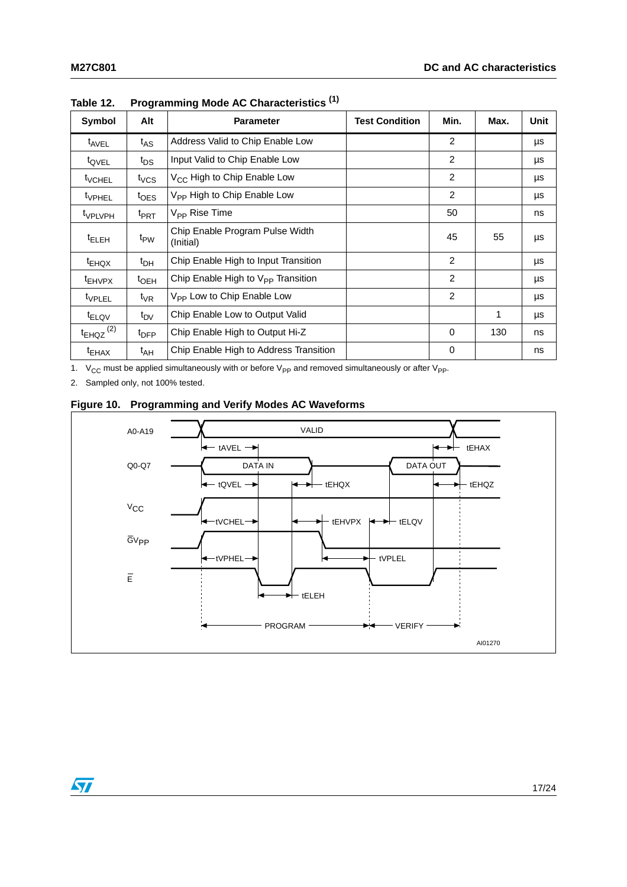| Symbol                    | Alt               | <b>Parameter</b>                             | <b>Test Condition</b> | Min.     | Max. | Unit |
|---------------------------|-------------------|----------------------------------------------|-----------------------|----------|------|------|
| t <sub>AVEL</sub>         | $t_{AS}$          | Address Valid to Chip Enable Low             |                       | 2        |      | μs   |
| t <sub>QVEL</sub>         | t <sub>DS</sub>   | Input Valid to Chip Enable Low               |                       | 2        |      | μs   |
| <sup>t</sup> VCHEL        | $t_{VCS}$         | V <sub>CC</sub> High to Chip Enable Low      |                       | 2        |      | μs   |
| <sup>t</sup> VPHEL        | $t_{\text{OES}}$  | V <sub>PP</sub> High to Chip Enable Low      |                       | 2        |      | μs   |
| <sup>t</sup> VPLVPH       | <sup>t</sup> PRT  | $V_{\text{PP}}$ Rise Time                    |                       | 50       |      | ns   |
| <sup>t</sup> ELEH         | t <sub>PW</sub>   | Chip Enable Program Pulse Width<br>(Initial) |                       | 45       | 55   | μs   |
| $t_{EHQX}$                | t <sub>DH</sub>   | Chip Enable High to Input Transition         |                       | 2        |      | μs   |
| <sup>t</sup> EHVPX        | $t_{\rm OEH}$     | Chip Enable High to $V_{PP}$ Transition      |                       | 2        |      | μs   |
| <sup>t</sup> VPLEL        | $t_{\mathsf{VR}}$ | V <sub>PP</sub> Low to Chip Enable Low       |                       | 2        |      | μs   |
| <sup>t</sup> ELQV         | $t_{\text{DV}}$   | Chip Enable Low to Output Valid              |                       |          | 1    | μs   |
| $t_{EHQZ}$ <sup>(2)</sup> | <sup>t</sup> DFP  | Chip Enable High to Output Hi-Z              |                       | $\Omega$ | 130  | ns   |
| $t_{EHAX}$                | t <sub>АН</sub>   | Chip Enable High to Address Transition       |                       | 0        |      | ns   |

<span id="page-17-0"></span>**Table 12. Programming Mode AC Characteristics (1)**

1.  $V_{CC}$  must be applied simultaneously with or before  $V_{PP}$  and removed simultaneously or after  $V_{PP}$ .

2. Sampled only, not 100% tested.

 $\sqrt{2}$ 

### <span id="page-17-1"></span>**Figure 10. Programming and Verify Modes AC Waveforms**

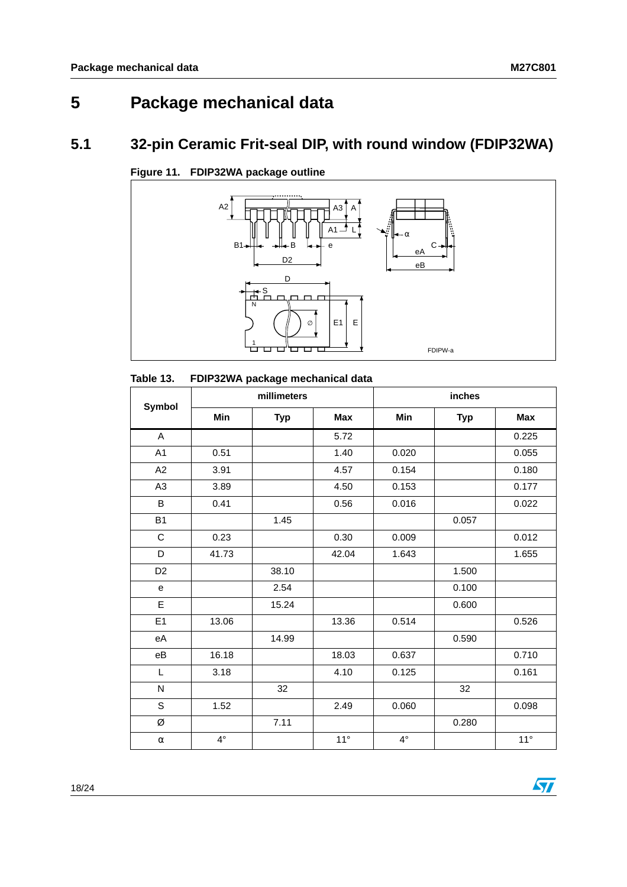# <span id="page-18-0"></span>**5 Package mechanical data**

## <span id="page-18-1"></span>**5.1 32-pin Ceramic Frit-seal DIP, with round window (FDIP32WA)**



<span id="page-18-3"></span>**Figure 11. FDIP32WA package outline**

<span id="page-18-2"></span>

| Table 13. |  |  | FDIP32WA package mechanical data |  |
|-----------|--|--|----------------------------------|--|
|-----------|--|--|----------------------------------|--|

|                |           | millimeters |              | inches      |            |              |  |
|----------------|-----------|-------------|--------------|-------------|------------|--------------|--|
| Symbol         | Min       | <b>Typ</b>  | <b>Max</b>   | Min         | <b>Typ</b> | <b>Max</b>   |  |
| A              |           |             | 5.72         |             |            | 0.225        |  |
| A1             | 0.51      |             | 1.40         | 0.020       |            | 0.055        |  |
| A2             | 3.91      |             | 4.57         | 0.154       |            | 0.180        |  |
| A <sub>3</sub> | 3.89      |             | 4.50         | 0.153       |            | 0.177        |  |
| $\sf B$        | 0.41      |             | 0.56         | 0.016       |            | 0.022        |  |
| <b>B1</b>      |           | 1.45        |              |             | 0.057      |              |  |
| ${\bf C}$      | 0.23      |             | 0.30         | 0.009       |            | 0.012        |  |
| D              | 41.73     |             | 42.04        | 1.643       |            | 1.655        |  |
| D <sub>2</sub> |           | 38.10       |              |             | 1.500      |              |  |
| ${\bf e}$      |           | 2.54        |              |             | 0.100      |              |  |
| E              |           | 15.24       |              |             | 0.600      |              |  |
| E1             | 13.06     |             | 13.36        | 0.514       |            | 0.526        |  |
| eA             |           | 14.99       |              |             | 0.590      |              |  |
| $\rm eB$       | 16.18     |             | 18.03        | 0.637       |            | 0.710        |  |
| L              | 3.18      |             | 4.10         | 0.125       |            | 0.161        |  |
| N              |           | 32          |              |             | 32         |              |  |
| $\mathsf{S}$   | 1.52      |             | 2.49         | 0.060       |            | 0.098        |  |
| Ø              |           | 7.11        |              |             | 0.280      |              |  |
| $\alpha$       | $4^\circ$ |             | $11^{\circ}$ | $4^{\circ}$ |            | $11^{\circ}$ |  |

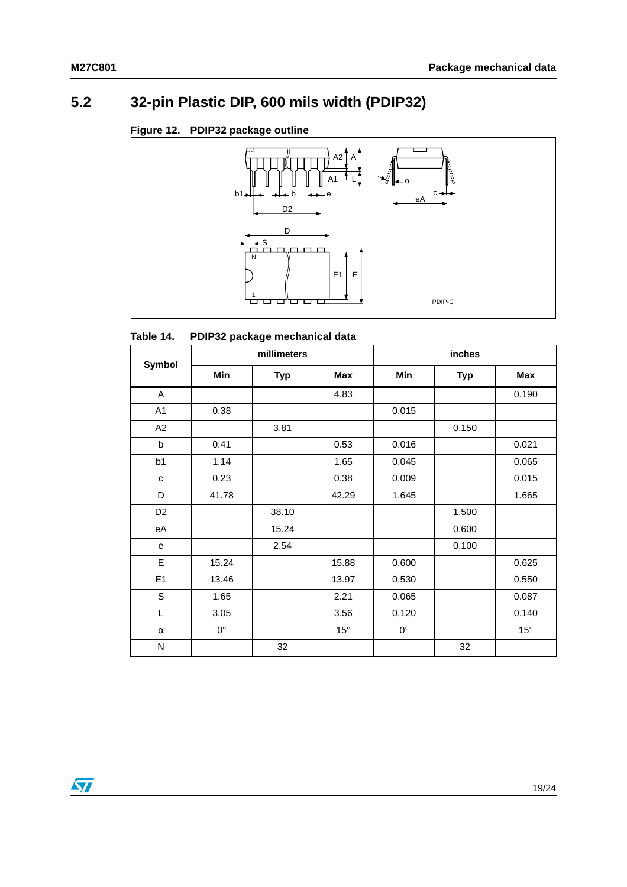# <span id="page-19-0"></span>**5.2 32-pin Plastic DIP, 600 mils width (PDIP32)**

### <span id="page-19-2"></span>**Figure 12. PDIP32 package outline**



#### <span id="page-19-1"></span>Table 14. **PDIP32 package mechanical data**

|                |             | millimeters |              | inches      |            |              |  |
|----------------|-------------|-------------|--------------|-------------|------------|--------------|--|
| Symbol         | Min         | <b>Typ</b>  | Max          | Min         | <b>Typ</b> | <b>Max</b>   |  |
| A              |             |             | 4.83         |             |            | 0.190        |  |
| A <sub>1</sub> | 0.38        |             |              | 0.015       |            |              |  |
| A2             |             | 3.81        |              |             | 0.150      |              |  |
| b              | 0.41        |             | 0.53         | 0.016       |            | 0.021        |  |
| b <sub>1</sub> | 1.14        |             | 1.65         | 0.045       |            | 0.065        |  |
| $\mathbf{C}$   | 0.23        |             | 0.38         | 0.009       |            | 0.015        |  |
| D              | 41.78       |             | 42.29        | 1.645       |            | 1.665        |  |
| D <sub>2</sub> |             | 38.10       |              |             | 1.500      |              |  |
| eA             |             | 15.24       |              |             | 0.600      |              |  |
| e              |             | 2.54        |              |             | 0.100      |              |  |
| E              | 15.24       |             | 15.88        | 0.600       |            | 0.625        |  |
| E1             | 13.46       |             | 13.97        | 0.530       |            | 0.550        |  |
| S              | 1.65        |             | 2.21         | 0.065       |            | 0.087        |  |
| L              | 3.05        |             | 3.56         | 0.120       |            | 0.140        |  |
| $\alpha$       | $0^{\circ}$ |             | $15^{\circ}$ | $0^{\circ}$ |            | $15^{\circ}$ |  |
| N              |             | 32          |              |             | 32         |              |  |

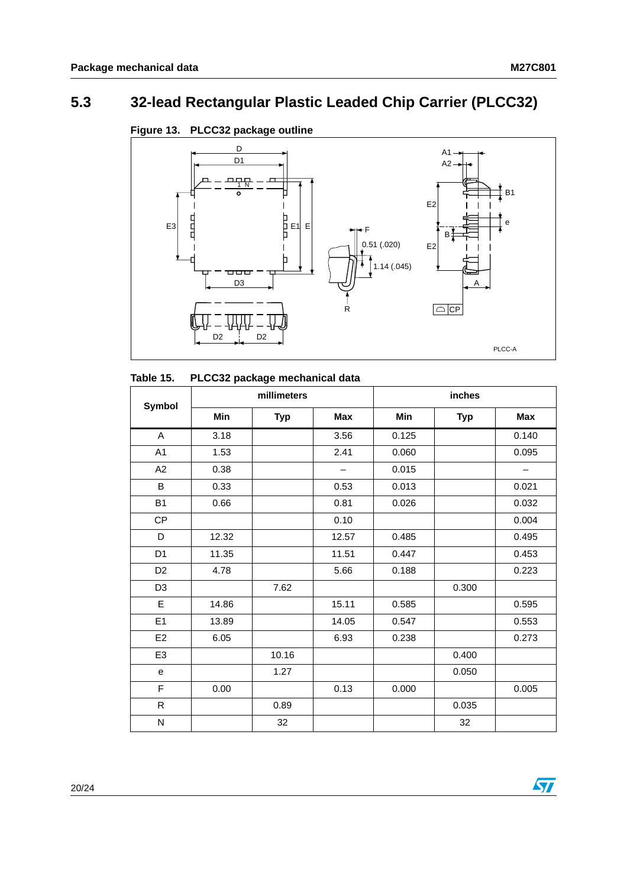$\sqrt{2}$ 

# <span id="page-20-0"></span>**5.3 32-lead Rectangular Plastic Leaded Chip Carrier (PLCC32)**



### <span id="page-20-2"></span>**Figure 13. PLCC32 package outline**

<span id="page-20-1"></span>

|                |       | millimeters |                   | inches |            |                          |  |
|----------------|-------|-------------|-------------------|--------|------------|--------------------------|--|
| Symbol         | Min   | <b>Typ</b>  | <b>Max</b>        | Min    | <b>Typ</b> | <b>Max</b>               |  |
| A              | 3.18  |             | 3.56              | 0.125  |            | 0.140                    |  |
| A <sub>1</sub> | 1.53  |             | 2.41              | 0.060  |            | 0.095                    |  |
| A2             | 0.38  |             | $\qquad \qquad -$ | 0.015  |            | $\overline{\phantom{m}}$ |  |
| $\sf B$        | 0.33  |             | 0.53              | 0.013  |            | 0.021                    |  |
| <b>B1</b>      | 0.66  |             | 0.81              | 0.026  |            | 0.032                    |  |
| CP             |       |             | 0.10              |        |            | 0.004                    |  |
| D              | 12.32 |             | 12.57             | 0.485  |            | 0.495                    |  |
| D <sub>1</sub> | 11.35 |             | 11.51             | 0.447  |            | 0.453                    |  |
| D <sub>2</sub> | 4.78  |             | 5.66              | 0.188  |            | 0.223                    |  |
| D <sub>3</sub> |       | 7.62        |                   |        | 0.300      |                          |  |
| E              | 14.86 |             | 15.11             | 0.585  |            | 0.595                    |  |
| E1             | 13.89 |             | 14.05             | 0.547  |            | 0.553                    |  |
| E <sub>2</sub> | 6.05  |             | 6.93              | 0.238  |            | 0.273                    |  |
| E <sub>3</sub> |       | 10.16       |                   |        | 0.400      |                          |  |
| e              |       | 1.27        |                   |        | 0.050      |                          |  |
| F              | 0.00  |             | 0.13              | 0.000  |            | 0.005                    |  |
| ${\sf R}$      |       | 0.89        |                   |        | 0.035      |                          |  |
| N              |       | 32          |                   |        | 32         |                          |  |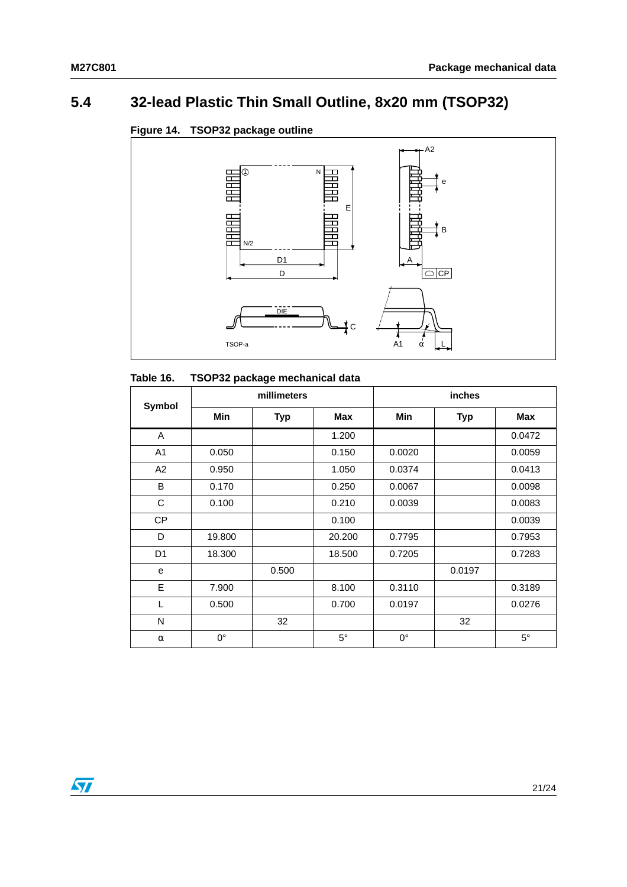# <span id="page-21-0"></span>**5.4 32-lead Plastic Thin Small Outline, 8x20 mm (TSOP32)**

### <span id="page-21-2"></span>**Figure 14. TSOP32 package outline**



### <span id="page-21-1"></span>**Table 16. TSOP32 package mechanical data**

| <b>Symbol</b>  |             | millimeters |             | <b>inches</b> |            |             |  |  |
|----------------|-------------|-------------|-------------|---------------|------------|-------------|--|--|
|                | <b>Min</b>  | <b>Typ</b>  | Max         | <b>Min</b>    | <b>Typ</b> | <b>Max</b>  |  |  |
| A              |             |             | 1.200       |               |            | 0.0472      |  |  |
| A <sub>1</sub> | 0.050       |             | 0.150       | 0.0020        |            | 0.0059      |  |  |
| A2             | 0.950       |             | 1.050       | 0.0374        |            | 0.0413      |  |  |
| B              | 0.170       |             | 0.250       | 0.0067        |            | 0.0098      |  |  |
| C              | 0.100       |             | 0.210       | 0.0039        |            | 0.0083      |  |  |
| CP             |             |             | 0.100       |               |            | 0.0039      |  |  |
| D              | 19.800      |             | 20,200      | 0.7795        |            | 0.7953      |  |  |
| D <sub>1</sub> | 18.300      |             | 18.500      | 0.7205        |            | 0.7283      |  |  |
| e              |             | 0.500       |             |               | 0.0197     |             |  |  |
| E              | 7.900       |             | 8.100       | 0.3110        |            | 0.3189      |  |  |
| L              | 0.500       |             | 0.700       | 0.0197        |            | 0.0276      |  |  |
| N              |             | 32          |             |               | 32         |             |  |  |
| $\alpha$       | $0^{\circ}$ |             | $5^{\circ}$ | $0^{\circ}$   |            | $5^{\circ}$ |  |  |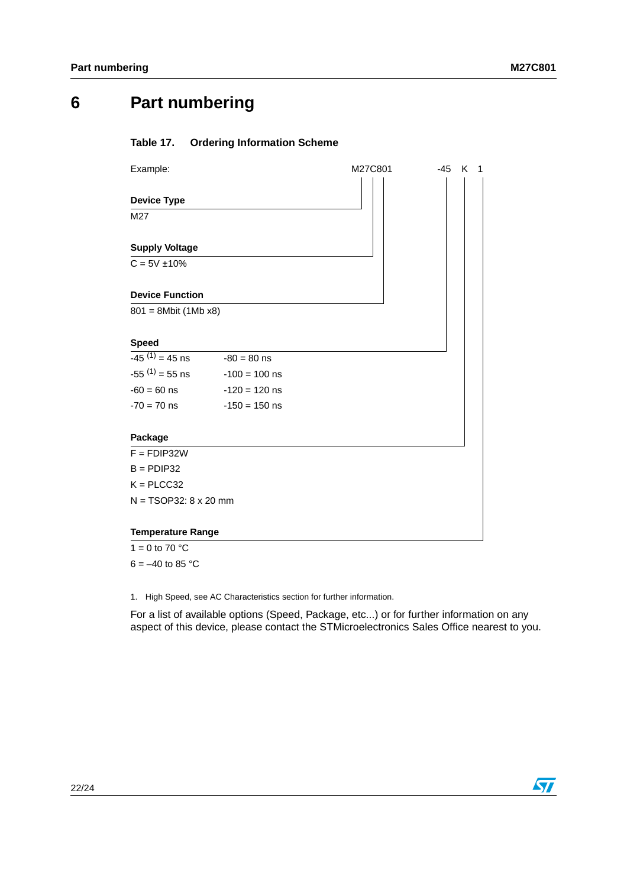# <span id="page-22-0"></span>**6 Part numbering**

### <span id="page-22-1"></span>**Table 17. Ordering Information Scheme**

| Example:                     |                 | M27C801 | -45 K<br>$\mathbf 1$ |  |
|------------------------------|-----------------|---------|----------------------|--|
|                              |                 |         |                      |  |
| <b>Device Type</b>           |                 |         |                      |  |
| M27                          |                 |         |                      |  |
|                              |                 |         |                      |  |
| <b>Supply Voltage</b>        |                 |         |                      |  |
| $C = 5V \pm 10\%$            |                 |         |                      |  |
|                              |                 |         |                      |  |
| <b>Device Function</b>       |                 |         |                      |  |
| $801 = 8Mbit (1Mb x8)$       |                 |         |                      |  |
|                              |                 |         |                      |  |
| <b>Speed</b>                 |                 |         |                      |  |
| $-45^{(1)} = 45$ ns          | $-80 = 80$ ns   |         |                      |  |
| $-55^{(1)} = 55$ ns          | $-100 = 100$ ns |         |                      |  |
| $-60 = 60$ ns                | $-120 = 120$ ns |         |                      |  |
| $-70 = 70$ ns                | $-150 = 150$ ns |         |                      |  |
|                              |                 |         |                      |  |
| Package                      |                 |         |                      |  |
| $F = FDIP32W$                |                 |         |                      |  |
| $B =$ PDIP32                 |                 |         |                      |  |
| $K = PLCC32$                 |                 |         |                      |  |
| $N = TSOP32: 8 \times 20$ mm |                 |         |                      |  |
|                              |                 |         |                      |  |
| <b>Temperature Range</b>     |                 |         |                      |  |

 $1 = 0$  to 70 °C  $6 = -40$  to 85 °C

1. High Speed, see AC Characteristics section for further information.

For a list of available options (Speed, Package, etc...) or for further information on any aspect of this device, please contact the STMicroelectronics Sales Office nearest to you.

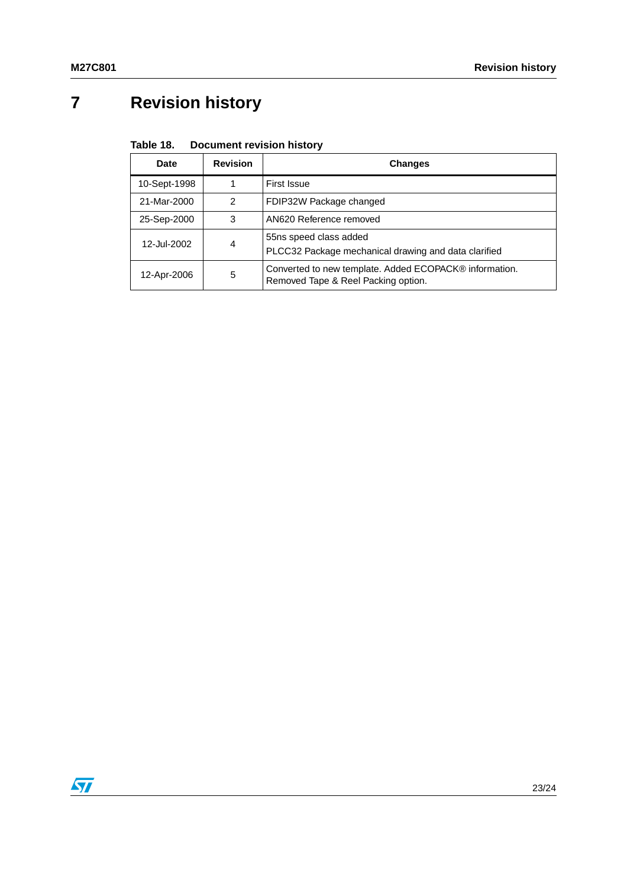# <span id="page-23-0"></span>**7 Revision history**

#### <span id="page-23-1"></span>Table 18. **Document revision history**

| Date         | <b>Revision</b> | <b>Changes</b>                                                                                |
|--------------|-----------------|-----------------------------------------------------------------------------------------------|
| 10-Sept-1998 |                 | First Issue                                                                                   |
| 21-Mar-2000  | 2               | FDIP32W Package changed                                                                       |
| 25-Sep-2000  | 3               | AN620 Reference removed                                                                       |
| 12-Jul-2002  | 4               | 55ns speed class added<br>PLCC32 Package mechanical drawing and data clarified                |
| 12-Apr-2006  | 5               | Converted to new template. Added ECOPACK® information.<br>Removed Tape & Reel Packing option. |